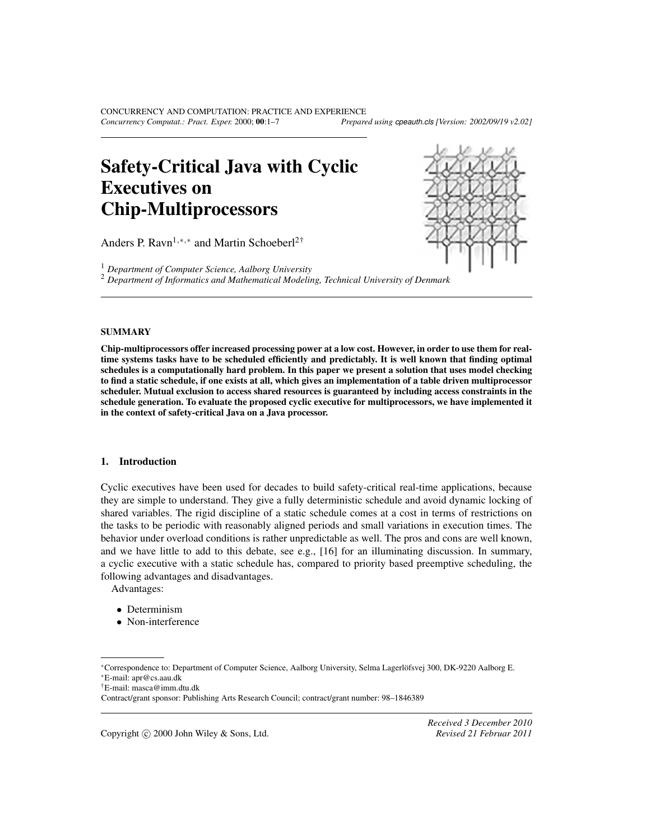CONCURRENCY AND COMPUTATION: PRACTICE AND EXPERIENCE<br>Concurrency Computat.: Pract. Exper. 2000; 00:1-7 Prepare *Prepared using cpeauth.cls [Version: 2002/09/19 v2.02]* 

# Safety-Critical Java with Cyclic Executives on Chip-Multiprocessors

Anders P. Ravn<sup>1,∗,∗</sup> and Martin Schoeberl<sup>2†</sup>

<sup>1</sup> *Department of Computer Science, Aalborg University*

<sup>2</sup> *Department of Informatics and Mathematical Modeling, Technical University of Denmark*

# **SUMMARY**

Chip-multiprocessors offer increased processing power at a low cost. However, in order to use them for realtime systems tasks have to be scheduled efficiently and predictably. It is well known that finding optimal schedules is a computationally hard problem. In this paper we present a solution that uses model checking to find a static schedule, if one exists at all, which gives an implementation of a table driven multiprocessor scheduler. Mutual exclusion to access shared resources is guaranteed by including access constraints in the schedule generation. To evaluate the proposed cyclic executive for multiprocessors, we have implemented it in the context of safety-critical Java on a Java processor.

### 1. Introduction

Cyclic executives have been used for decades to build safety-critical real-time applications, because they are simple to understand. They give a fully deterministic schedule and avoid dynamic locking of shared variables. The rigid discipline of a static schedule comes at a cost in terms of restrictions on the tasks to be periodic with reasonably aligned periods and small variations in execution times. The behavior under overload conditions is rather unpredictable as well. The pros and cons are well known, and we have little to add to this debate, see e.g., [16] for an illuminating discussion. In summary, a cyclic executive with a static schedule has, compared to priority based preemptive scheduling, the following advantages and disadvantages.

Advantages:

- Determinism
- Non-interference

†E-mail: masca@imm.dtu.dk

Copyright  $\circled{c}$  2000 John Wiley & Sons, Ltd.



<sup>∗</sup>Correspondence to: Department of Computer Science, Aalborg University, Selma Lagerlöfsvej 300, DK-9220 Aalborg E. <sup>∗</sup>E-mail: apr@cs.aau.dk

Contract/grant sponsor: Publishing Arts Research Council; contract/grant number: 98–1846389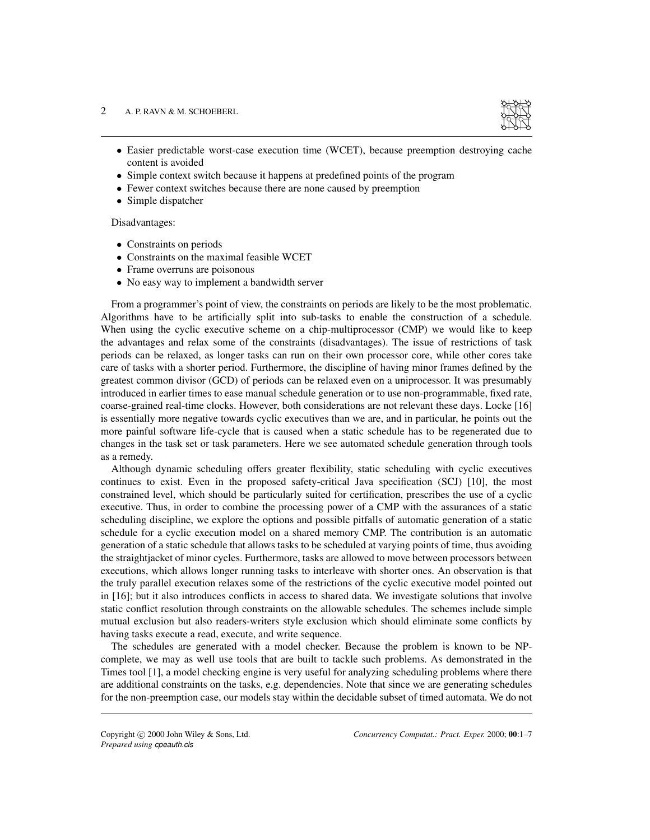

- Easier predictable worst-case execution time (WCET), because preemption destroying cache content is avoided
- Simple context switch because it happens at predefined points of the program
- Fewer context switches because there are none caused by preemption
- Simple dispatcher

Disadvantages:

- Constraints on periods
- Constraints on the maximal feasible WCET
- Frame overruns are poisonous
- No easy way to implement a bandwidth server

From a programmer's point of view, the constraints on periods are likely to be the most problematic. Algorithms have to be artificially split into sub-tasks to enable the construction of a schedule. When using the cyclic executive scheme on a chip-multiprocessor (CMP) we would like to keep the advantages and relax some of the constraints (disadvantages). The issue of restrictions of task periods can be relaxed, as longer tasks can run on their own processor core, while other cores take care of tasks with a shorter period. Furthermore, the discipline of having minor frames defined by the greatest common divisor (GCD) of periods can be relaxed even on a uniprocessor. It was presumably introduced in earlier times to ease manual schedule generation or to use non-programmable, fixed rate, coarse-grained real-time clocks. However, both considerations are not relevant these days. Locke [16] is essentially more negative towards cyclic executives than we are, and in particular, he points out the more painful software life-cycle that is caused when a static schedule has to be regenerated due to changes in the task set or task parameters. Here we see automated schedule generation through tools as a remedy.

Although dynamic scheduling offers greater flexibility, static scheduling with cyclic executives continues to exist. Even in the proposed safety-critical Java specification (SCJ) [10], the most constrained level, which should be particularly suited for certification, prescribes the use of a cyclic executive. Thus, in order to combine the processing power of a CMP with the assurances of a static scheduling discipline, we explore the options and possible pitfalls of automatic generation of a static schedule for a cyclic execution model on a shared memory CMP. The contribution is an automatic generation of a static schedule that allows tasks to be scheduled at varying points of time, thus avoiding the straightjacket of minor cycles. Furthermore, tasks are allowed to move between processors between executions, which allows longer running tasks to interleave with shorter ones. An observation is that the truly parallel execution relaxes some of the restrictions of the cyclic executive model pointed out in [16]; but it also introduces conflicts in access to shared data. We investigate solutions that involve static conflict resolution through constraints on the allowable schedules. The schemes include simple mutual exclusion but also readers-writers style exclusion which should eliminate some conflicts by having tasks execute a read, execute, and write sequence.

The schedules are generated with a model checker. Because the problem is known to be NPcomplete, we may as well use tools that are built to tackle such problems. As demonstrated in the Times tool [1], a model checking engine is very useful for analyzing scheduling problems where there are additional constraints on the tasks, e.g. dependencies. Note that since we are generating schedules for the non-preemption case, our models stay within the decidable subset of timed automata. We do not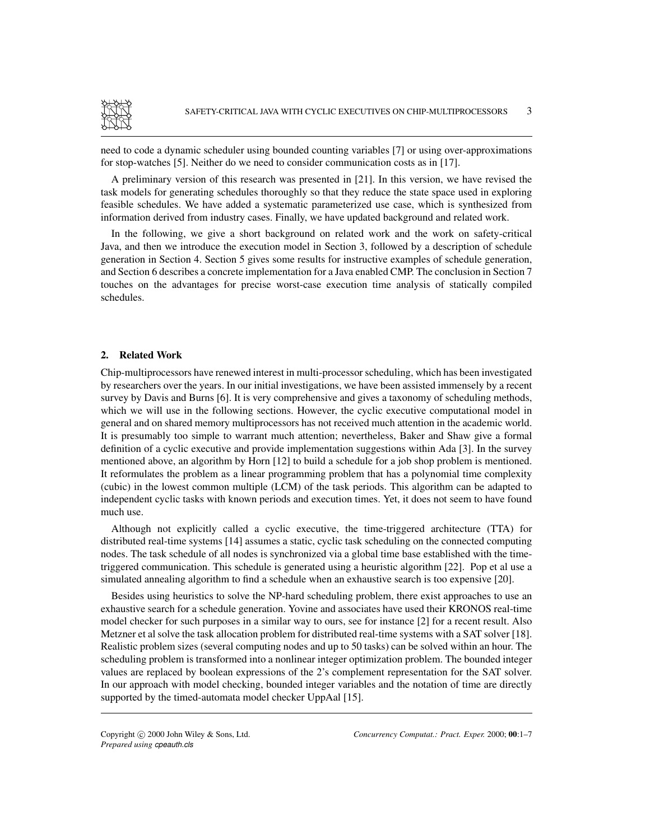

need to code a dynamic scheduler using bounded counting variables [7] or using over-approximations for stop-watches [5]. Neither do we need to consider communication costs as in [17].

A preliminary version of this research was presented in [21]. In this version, we have revised the task models for generating schedules thoroughly so that they reduce the state space used in exploring feasible schedules. We have added a systematic parameterized use case, which is synthesized from information derived from industry cases. Finally, we have updated background and related work.

In the following, we give a short background on related work and the work on safety-critical Java, and then we introduce the execution model in Section 3, followed by a description of schedule generation in Section 4. Section 5 gives some results for instructive examples of schedule generation, and Section 6 describes a concrete implementation for a Java enabled CMP. The conclusion in Section 7 touches on the advantages for precise worst-case execution time analysis of statically compiled schedules.

#### 2. Related Work

Chip-multiprocessors have renewed interest in multi-processor scheduling, which has been investigated by researchers over the years. In our initial investigations, we have been assisted immensely by a recent survey by Davis and Burns [6]. It is very comprehensive and gives a taxonomy of scheduling methods, which we will use in the following sections. However, the cyclic executive computational model in general and on shared memory multiprocessors has not received much attention in the academic world. It is presumably too simple to warrant much attention; nevertheless, Baker and Shaw give a formal definition of a cyclic executive and provide implementation suggestions within Ada [3]. In the survey mentioned above, an algorithm by Horn [12] to build a schedule for a job shop problem is mentioned. It reformulates the problem as a linear programming problem that has a polynomial time complexity (cubic) in the lowest common multiple (LCM) of the task periods. This algorithm can be adapted to independent cyclic tasks with known periods and execution times. Yet, it does not seem to have found much use.

Although not explicitly called a cyclic executive, the time-triggered architecture (TTA) for distributed real-time systems [14] assumes a static, cyclic task scheduling on the connected computing nodes. The task schedule of all nodes is synchronized via a global time base established with the timetriggered communication. This schedule is generated using a heuristic algorithm [22]. Pop et al use a simulated annealing algorithm to find a schedule when an exhaustive search is too expensive [20].

Besides using heuristics to solve the NP-hard scheduling problem, there exist approaches to use an exhaustive search for a schedule generation. Yovine and associates have used their KRONOS real-time model checker for such purposes in a similar way to ours, see for instance [2] for a recent result. Also Metzner et al solve the task allocation problem for distributed real-time systems with a SAT solver [18]. Realistic problem sizes (several computing nodes and up to 50 tasks) can be solved within an hour. The scheduling problem is transformed into a nonlinear integer optimization problem. The bounded integer values are replaced by boolean expressions of the 2's complement representation for the SAT solver. In our approach with model checking, bounded integer variables and the notation of time are directly supported by the timed-automata model checker UppAal [15].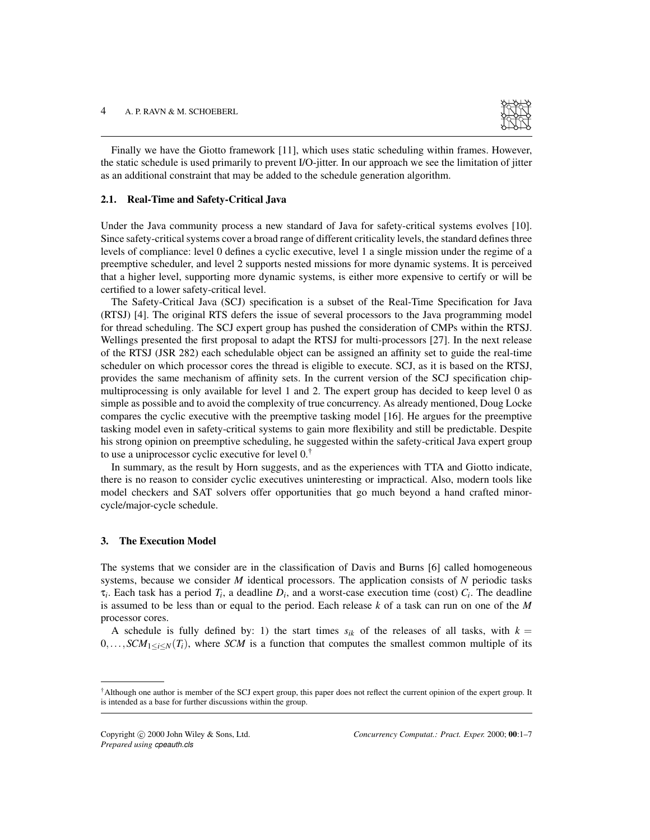

Finally we have the Giotto framework [11], which uses static scheduling within frames. However, the static schedule is used primarily to prevent I/O-jitter. In our approach we see the limitation of jitter as an additional constraint that may be added to the schedule generation algorithm.

### 2.1. Real-Time and Safety-Critical Java

Under the Java community process a new standard of Java for safety-critical systems evolves [10]. Since safety-critical systems cover a broad range of different criticality levels, the standard defines three levels of compliance: level 0 defines a cyclic executive, level 1 a single mission under the regime of a preemptive scheduler, and level 2 supports nested missions for more dynamic systems. It is perceived that a higher level, supporting more dynamic systems, is either more expensive to certify or will be certified to a lower safety-critical level.

The Safety-Critical Java (SCJ) specification is a subset of the Real-Time Specification for Java (RTSJ) [4]. The original RTS defers the issue of several processors to the Java programming model for thread scheduling. The SCJ expert group has pushed the consideration of CMPs within the RTSJ. Wellings presented the first proposal to adapt the RTSJ for multi-processors [27]. In the next release of the RTSJ (JSR 282) each schedulable object can be assigned an affinity set to guide the real-time scheduler on which processor cores the thread is eligible to execute. SCJ, as it is based on the RTSJ, provides the same mechanism of affinity sets. In the current version of the SCJ specification chipmultiprocessing is only available for level 1 and 2. The expert group has decided to keep level 0 as simple as possible and to avoid the complexity of true concurrency. As already mentioned, Doug Locke compares the cyclic executive with the preemptive tasking model [16]. He argues for the preemptive tasking model even in safety-critical systems to gain more flexibility and still be predictable. Despite his strong opinion on preemptive scheduling, he suggested within the safety-critical Java expert group to use a uniprocessor cyclic executive for level 0.†

In summary, as the result by Horn suggests, and as the experiences with TTA and Giotto indicate, there is no reason to consider cyclic executives uninteresting or impractical. Also, modern tools like model checkers and SAT solvers offer opportunities that go much beyond a hand crafted minorcycle/major-cycle schedule.

### 3. The Execution Model

The systems that we consider are in the classification of Davis and Burns [6] called homogeneous systems, because we consider *M* identical processors. The application consists of *N* periodic tasks  $\tau_i$ . Each task has a period  $T_i$ , a deadline  $D_i$ , and a worst-case execution time (cost)  $C_i$ . The deadline is assumed to be less than or equal to the period. Each release *k* of a task can run on one of the *M* processor cores.

A schedule is fully defined by: 1) the start times  $s_{ik}$  of the releases of all tasks, with  $k =$  $0, \ldots, \text{SCM}_{1 \le i \le N}(T_i)$ , where *SCM* is a function that computes the smallest common multiple of its

<sup>†</sup>Although one author is member of the SCJ expert group, this paper does not reflect the current opinion of the expert group. It is intended as a base for further discussions within the group.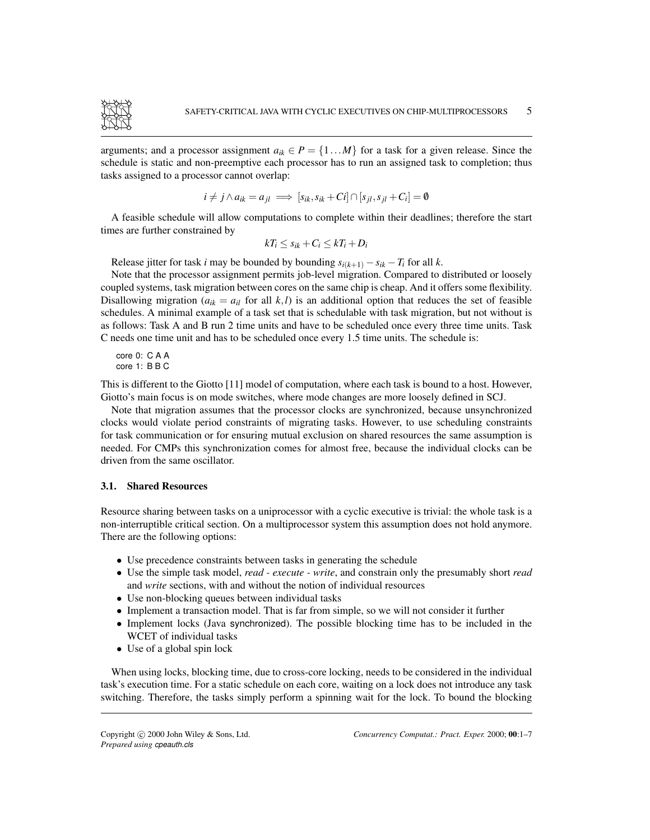

arguments; and a processor assignment  $a_{ik} \in P = \{1...M\}$  for a task for a given release. Since the schedule is static and non-preemptive each processor has to run an assigned task to completion; thus tasks assigned to a processor cannot overlap:

$$
i \neq j \land a_{ik} = a_{jl} \implies [s_{ik}, s_{ik} + Ci] \cap [s_{jl}, s_{jl} + C_i] = \emptyset
$$

A feasible schedule will allow computations to complete within their deadlines; therefore the start times are further constrained by

$$
kT_i \leq s_{ik} + C_i \leq kT_i + D_i
$$

Release jitter for task *i* may be bounded by bounding  $s_{i(k+1)} - s_{ik} - T_i$  for all *k*.

Note that the processor assignment permits job-level migration. Compared to distributed or loosely coupled systems, task migration between cores on the same chip is cheap. And it offers some flexibility. Disallowing migration ( $a_{ik} = a_{il}$  for all  $k, l$ ) is an additional option that reduces the set of feasible schedules. A minimal example of a task set that is schedulable with task migration, but not without is as follows: Task A and B run 2 time units and have to be scheduled once every three time units. Task C needs one time unit and has to be scheduled once every 1.5 time units. The schedule is:

core 0: C A A core 1: B B C

This is different to the Giotto [11] model of computation, where each task is bound to a host. However, Giotto's main focus is on mode switches, where mode changes are more loosely defined in SCJ.

Note that migration assumes that the processor clocks are synchronized, because unsynchronized clocks would violate period constraints of migrating tasks. However, to use scheduling constraints for task communication or for ensuring mutual exclusion on shared resources the same assumption is needed. For CMPs this synchronization comes for almost free, because the individual clocks can be driven from the same oscillator.

# 3.1. Shared Resources

Resource sharing between tasks on a uniprocessor with a cyclic executive is trivial: the whole task is a non-interruptible critical section. On a multiprocessor system this assumption does not hold anymore. There are the following options:

- Use precedence constraints between tasks in generating the schedule
- Use the simple task model, *read execute write*, and constrain only the presumably short *read* and *write* sections, with and without the notion of individual resources
- Use non-blocking queues between individual tasks
- Implement a transaction model. That is far from simple, so we will not consider it further
- Implement locks (Java synchronized). The possible blocking time has to be included in the WCET of individual tasks
- Use of a global spin lock

When using locks, blocking time, due to cross-core locking, needs to be considered in the individual task's execution time. For a static schedule on each core, waiting on a lock does not introduce any task switching. Therefore, the tasks simply perform a spinning wait for the lock. To bound the blocking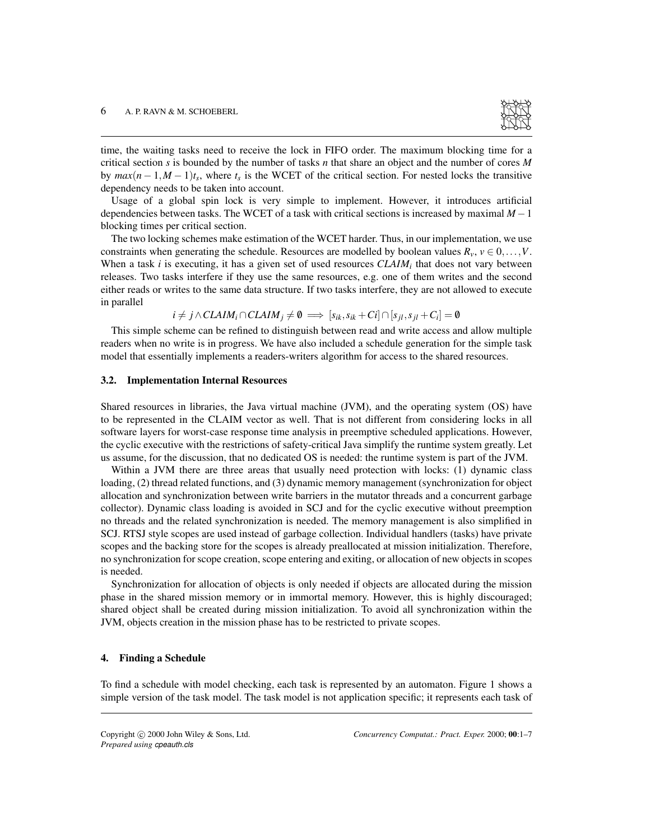

time, the waiting tasks need to receive the lock in FIFO order. The maximum blocking time for a critical section *s* is bounded by the number of tasks *n* that share an object and the number of cores *M* by  $max(n-1, M-1)t_s$ , where  $t_s$  is the WCET of the critical section. For nested locks the transitive dependency needs to be taken into account.

Usage of a global spin lock is very simple to implement. However, it introduces artificial dependencies between tasks. The WCET of a task with critical sections is increased by maximal *M* −1 blocking times per critical section.

The two locking schemes make estimation of the WCET harder. Thus, in our implementation, we use constraints when generating the schedule. Resources are modelled by boolean values  $R_v$ ,  $v \in 0, \ldots, V$ . When a task *i* is executing, it has a given set of used resources *CLAIM<sup>i</sup>* that does not vary between releases. Two tasks interfere if they use the same resources, e.g. one of them writes and the second either reads or writes to the same data structure. If two tasks interfere, they are not allowed to execute in parallel

 $i \neq j \land CLAIM_i \cap CLAIM_j \neq \emptyset \implies [s_{ik}, s_{ik} + Ci] \cap [s_{jl}, s_{jl} + C_i] = \emptyset$ 

This simple scheme can be refined to distinguish between read and write access and allow multiple readers when no write is in progress. We have also included a schedule generation for the simple task model that essentially implements a readers-writers algorithm for access to the shared resources.

#### 3.2. Implementation Internal Resources

Shared resources in libraries, the Java virtual machine (JVM), and the operating system (OS) have to be represented in the CLAIM vector as well. That is not different from considering locks in all software layers for worst-case response time analysis in preemptive scheduled applications. However, the cyclic executive with the restrictions of safety-critical Java simplify the runtime system greatly. Let us assume, for the discussion, that no dedicated OS is needed: the runtime system is part of the JVM.

Within a JVM there are three areas that usually need protection with locks: (1) dynamic class loading, (2) thread related functions, and (3) dynamic memory management (synchronization for object allocation and synchronization between write barriers in the mutator threads and a concurrent garbage collector). Dynamic class loading is avoided in SCJ and for the cyclic executive without preemption no threads and the related synchronization is needed. The memory management is also simplified in SCJ. RTSJ style scopes are used instead of garbage collection. Individual handlers (tasks) have private scopes and the backing store for the scopes is already preallocated at mission initialization. Therefore, no synchronization for scope creation, scope entering and exiting, or allocation of new objects in scopes is needed.

Synchronization for allocation of objects is only needed if objects are allocated during the mission phase in the shared mission memory or in immortal memory. However, this is highly discouraged; shared object shall be created during mission initialization. To avoid all synchronization within the JVM, objects creation in the mission phase has to be restricted to private scopes.

### 4. Finding a Schedule

To find a schedule with model checking, each task is represented by an automaton. Figure 1 shows a simple version of the task model. The task model is not application specific; it represents each task of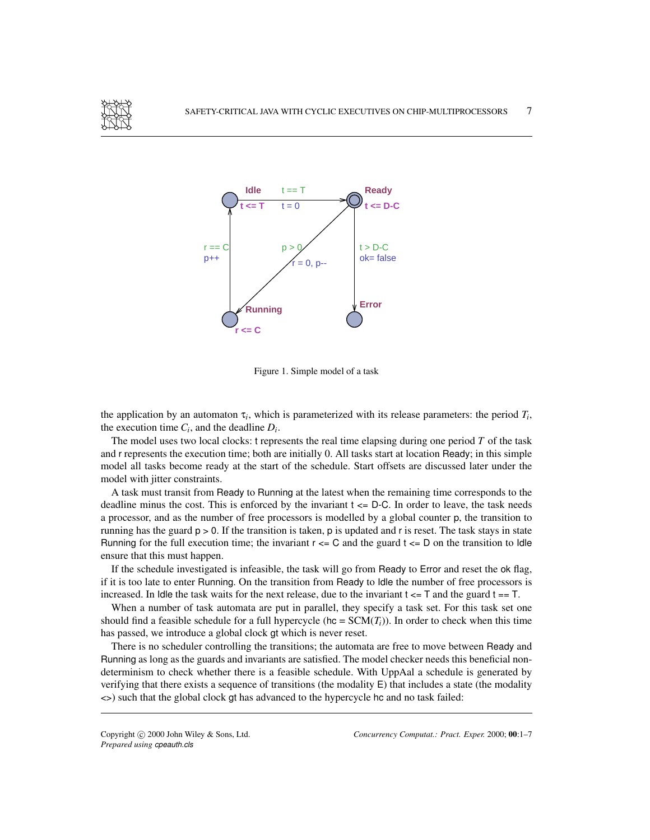



Figure 1. Simple model of a task

the application by an automaton  $\tau_i$ , which is parameterized with its release parameters: the period  $T_i$ , the execution time  $C_i$ , and the deadline  $D_i$ .

The model uses two local clocks: t represents the real time elapsing during one period *T* of the task and r represents the execution time; both are initially 0. All tasks start at location Ready; in this simple model all tasks become ready at the start of the schedule. Start offsets are discussed later under the model with jitter constraints.

A task must transit from Ready to Running at the latest when the remaining time corresponds to the deadline minus the cost. This is enforced by the invariant  $t \leq D-C$ . In order to leave, the task needs a processor, and as the number of free processors is modelled by a global counter p, the transition to running has the guard p > 0. If the transition is taken, p is updated and r is reset. The task stays in state Running for the full execution time; the invariant  $r \leq C$  and the guard  $t \leq D$  on the transition to Idle ensure that this must happen.

If the schedule investigated is infeasible, the task will go from Ready to Error and reset the ok flag, if it is too late to enter Running. On the transition from Ready to Idle the number of free processors is increased. In Idle the task waits for the next release, due to the invariant  $t \leq T$  and the guard  $t = T$ .

When a number of task automata are put in parallel, they specify a task set. For this task set one should find a feasible schedule for a full hypercycle (hc =  $SCM(T<sub>i</sub>)$ ). In order to check when this time has passed, we introduce a global clock gt which is never reset.

There is no scheduler controlling the transitions; the automata are free to move between Ready and Running as long as the guards and invariants are satisfied. The model checker needs this beneficial nondeterminism to check whether there is a feasible schedule. With UppAal a schedule is generated by verifying that there exists a sequence of transitions (the modality E) that includes a state (the modality <>) such that the global clock gt has advanced to the hypercycle hc and no task failed: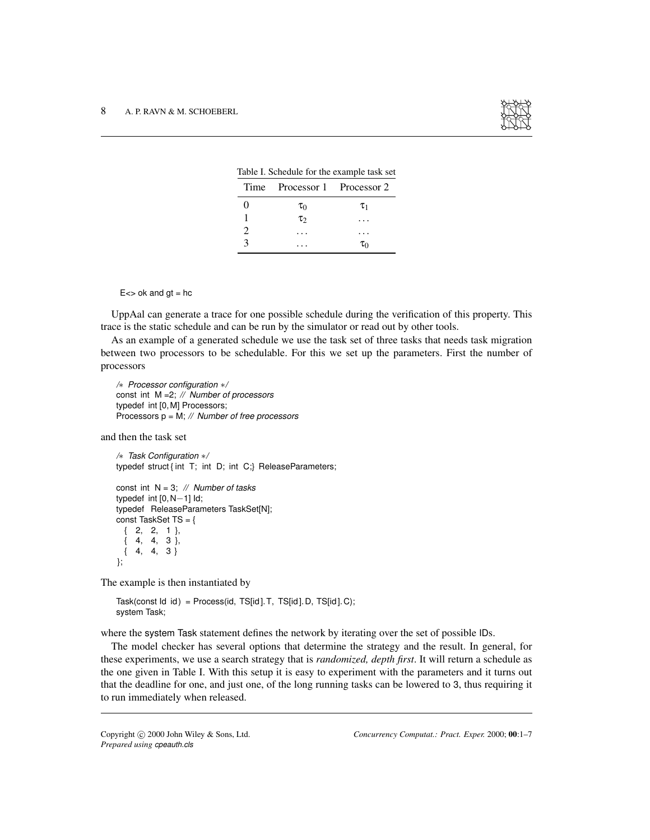

| Table I. Schedule for the example task set |          |                              |  |  |  |
|--------------------------------------------|----------|------------------------------|--|--|--|
|                                            |          | Time Processor 1 Processor 2 |  |  |  |
|                                            | $\tau_0$ | $\tau_1$                     |  |  |  |
|                                            | $\tau$   |                              |  |  |  |
| $\mathcal{D}_{\mathcal{L}}$                |          |                              |  |  |  |
| 3                                          |          | ፒΛ                           |  |  |  |

 $E \leq$  ok and  $gt = hc$ 

UppAal can generate a trace for one possible schedule during the verification of this property. This trace is the static schedule and can be run by the simulator or read out by other tools.

As an example of a generated schedule we use the task set of three tasks that needs task migration between two processors to be schedulable. For this we set up the parameters. First the number of processors

*/*∗ *Processor configuration* ∗*/* const int M =2; *// Number of processors* typedef int [0,M] Processors; Processors p = M; *// Number of free processors*

and then the task set

```
/∗ Task Configuration ∗/
typedef struct { int T; int D; int C;} ReleaseParameters;
```

```
const int N = 3; // Number of tasks
typedef int [0,N−1] Id;
typedef ReleaseParameters TaskSet[N];
const TaskSet TS = {
 { 2, 2, 1 },
 { 4, 4, 3 },
 \{4, 4, 3\}};
```
The example is then instantiated by

Task(const  $Id$  id) = Process( $id$ , TS $(id]$ . T, TS $(id]$ . D, TS $(id]$ . C); system Task;

where the system Task statement defines the network by iterating over the set of possible IDs.

The model checker has several options that determine the strategy and the result. In general, for these experiments, we use a search strategy that is *randomized, depth first*. It will return a schedule as the one given in Table I. With this setup it is easy to experiment with the parameters and it turns out that the deadline for one, and just one, of the long running tasks can be lowered to 3, thus requiring it to run immediately when released.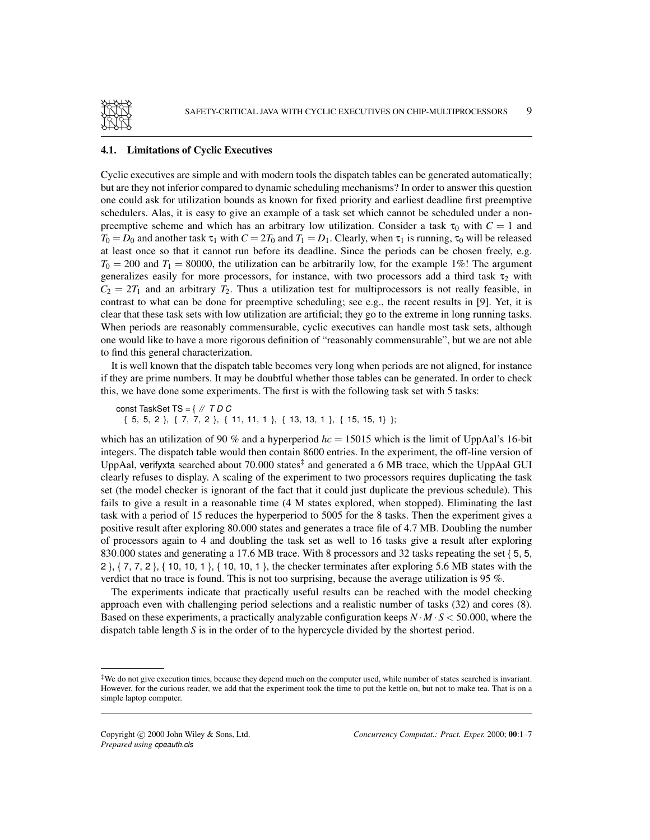

#### 4.1. Limitations of Cyclic Executives

Cyclic executives are simple and with modern tools the dispatch tables can be generated automatically; but are they not inferior compared to dynamic scheduling mechanisms? In order to answer this question one could ask for utilization bounds as known for fixed priority and earliest deadline first preemptive schedulers. Alas, it is easy to give an example of a task set which cannot be scheduled under a nonpreemptive scheme and which has an arbitrary low utilization. Consider a task  $\tau_0$  with  $C = 1$  and  $T_0 = D_0$  and another task  $\tau_1$  with  $C = 2T_0$  and  $T_1 = D_1$ . Clearly, when  $\tau_1$  is running,  $\tau_0$  will be released at least once so that it cannot run before its deadline. Since the periods can be chosen freely, e.g.  $T_0 = 200$  and  $T_1 = 80000$ , the utilization can be arbitrarily low, for the example 1%! The argument generalizes easily for more processors, for instance, with two processors add a third task  $\tau_2$  with  $C_2 = 2T_1$  and an arbitrary  $T_2$ . Thus a utilization test for multiprocessors is not really feasible, in contrast to what can be done for preemptive scheduling; see e.g., the recent results in [9]. Yet, it is clear that these task sets with low utilization are artificial; they go to the extreme in long running tasks. When periods are reasonably commensurable, cyclic executives can handle most task sets, although one would like to have a more rigorous definition of "reasonably commensurable", but we are not able to find this general characterization.

It is well known that the dispatch table becomes very long when periods are not aligned, for instance if they are prime numbers. It may be doubtful whether those tables can be generated. In order to check this, we have done some experiments. The first is with the following task set with 5 tasks:

const TaskSet TS = { *// T D C* { 5, 5, 2 }, { 7, 7, 2 }, { 11, 11, 1 }, { 13, 13, 1 }, { 15, 15, 1} };

which has an utilization of 90 % and a hyperperiod  $hc = 15015$  which is the limit of UppAal's 16-bit integers. The dispatch table would then contain 8600 entries. In the experiment, the off-line version of UppAal, verifyxta searched about 70.000 states<sup>‡</sup> and generated a 6 MB trace, which the UppAal GUI clearly refuses to display. A scaling of the experiment to two processors requires duplicating the task set (the model checker is ignorant of the fact that it could just duplicate the previous schedule). This fails to give a result in a reasonable time (4 M states explored, when stopped). Eliminating the last task with a period of 15 reduces the hyperperiod to 5005 for the 8 tasks. Then the experiment gives a positive result after exploring 80.000 states and generates a trace file of 4.7 MB. Doubling the number of processors again to 4 and doubling the task set as well to 16 tasks give a result after exploring 830.000 states and generating a 17.6 MB trace. With 8 processors and 32 tasks repeating the set { 5, 5, 2 }, { 7, 7, 2 }, { 10, 10, 1 }, { 10, 10, 1 }, the checker terminates after exploring 5.6 MB states with the verdict that no trace is found. This is not too surprising, because the average utilization is 95 %.

The experiments indicate that practically useful results can be reached with the model checking approach even with challenging period selections and a realistic number of tasks (32) and cores (8). Based on these experiments, a practically analyzable configuration keeps  $N \cdot M \cdot S < 50.000$ , where the dispatch table length *S* is in the order of to the hypercycle divided by the shortest period.

<sup>‡</sup>We do not give execution times, because they depend much on the computer used, while number of states searched is invariant. However, for the curious reader, we add that the experiment took the time to put the kettle on, but not to make tea. That is on a simple laptop computer.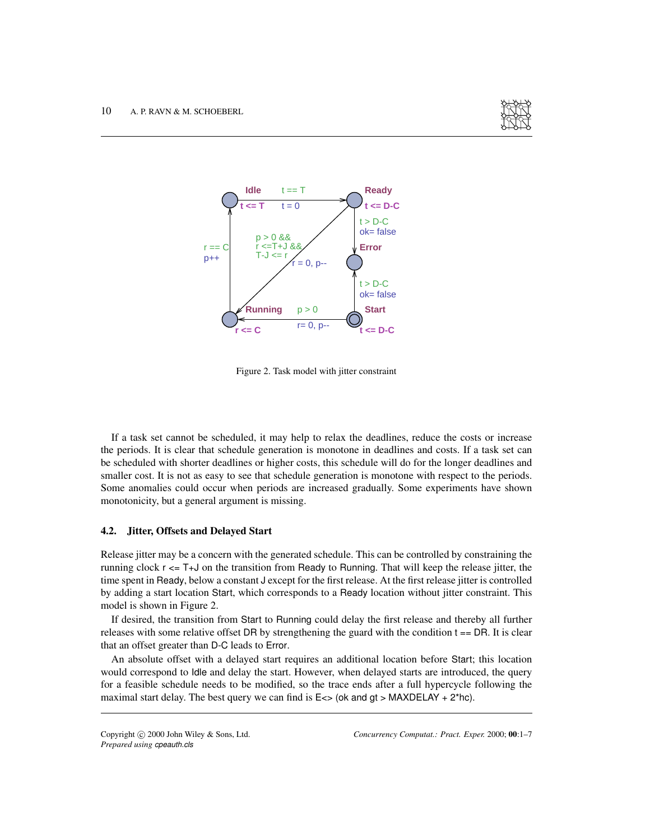



Figure 2. Task model with jitter constraint

If a task set cannot be scheduled, it may help to relax the deadlines, reduce the costs or increase the periods. It is clear that schedule generation is monotone in deadlines and costs. If a task set can be scheduled with shorter deadlines or higher costs, this schedule will do for the longer deadlines and smaller cost. It is not as easy to see that schedule generation is monotone with respect to the periods. Some anomalies could occur when periods are increased gradually. Some experiments have shown monotonicity, but a general argument is missing.

# 4.2. Jitter, Offsets and Delayed Start

Release jitter may be a concern with the generated schedule. This can be controlled by constraining the running clock r <= T+J on the transition from Ready to Running. That will keep the release jitter, the time spent in Ready, below a constant J except for the first release. At the first release jitter is controlled by adding a start location Start, which corresponds to a Ready location without jitter constraint. This model is shown in Figure 2.

If desired, the transition from Start to Running could delay the first release and thereby all further releases with some relative offset DR by strengthening the guard with the condition  $t = DR$ . It is clear that an offset greater than D-C leads to Error.

An absolute offset with a delayed start requires an additional location before Start; this location would correspond to Idle and delay the start. However, when delayed starts are introduced, the query for a feasible schedule needs to be modified, so the trace ends after a full hypercycle following the maximal start delay. The best query we can find is  $E \leq 6$  (ok and gt > MAXDELAY + 2\*hc).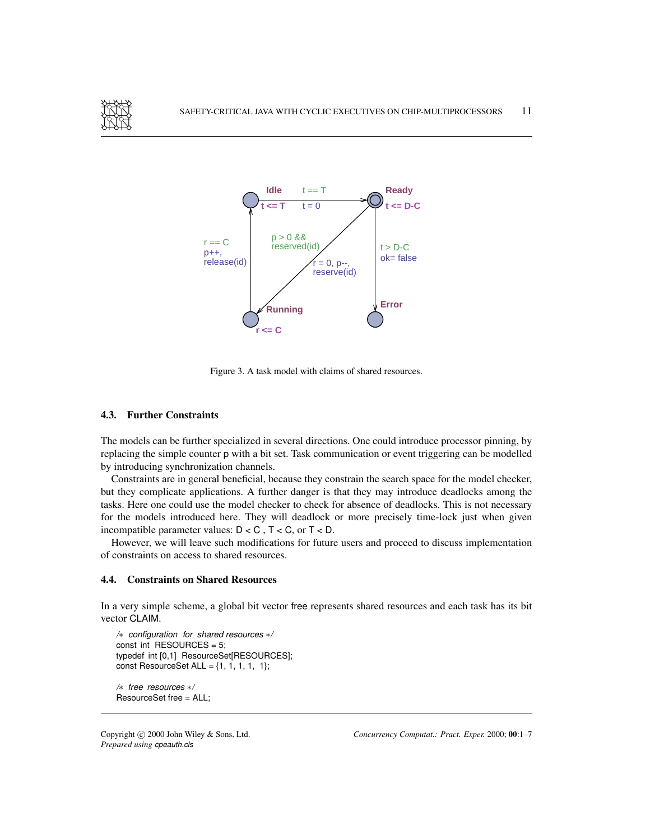

Figure 3. A task model with claims of shared resources.

# 4.3. Further Constraints

The models can be further specialized in several directions. One could introduce processor pinning, by replacing the simple counter p with a bit set. Task communication or event triggering can be modelled by introducing synchronization channels.

Constraints are in general beneficial, because they constrain the search space for the model checker, but they complicate applications. A further danger is that they may introduce deadlocks among the tasks. Here one could use the model checker to check for absence of deadlocks. This is not necessary for the models introduced here. They will deadlock or more precisely time-lock just when given incompatible parameter values:  $D < C$ ,  $T < C$ , or  $T < D$ .

However, we will leave such modifications for future users and proceed to discuss implementation of constraints on access to shared resources.

# 4.4. Constraints on Shared Resources

In a very simple scheme, a global bit vector free represents shared resources and each task has its bit vector CLAIM.

```
/∗ configuration for shared resources ∗/
const int RESOURCES = 5;
typedef int [0,1] ResourceSet[RESOURCES];
const ResourceSet ALL = \{1, 1, 1, 1, 1\};
```

```
/∗ free resources ∗/
ResourceSet free = ALL;
```
*Prepared using cpeauth.cls*

Copyright 
copyright 
copyright 
concurrency Computat.: Pract. Exper. 2000; 00:1-7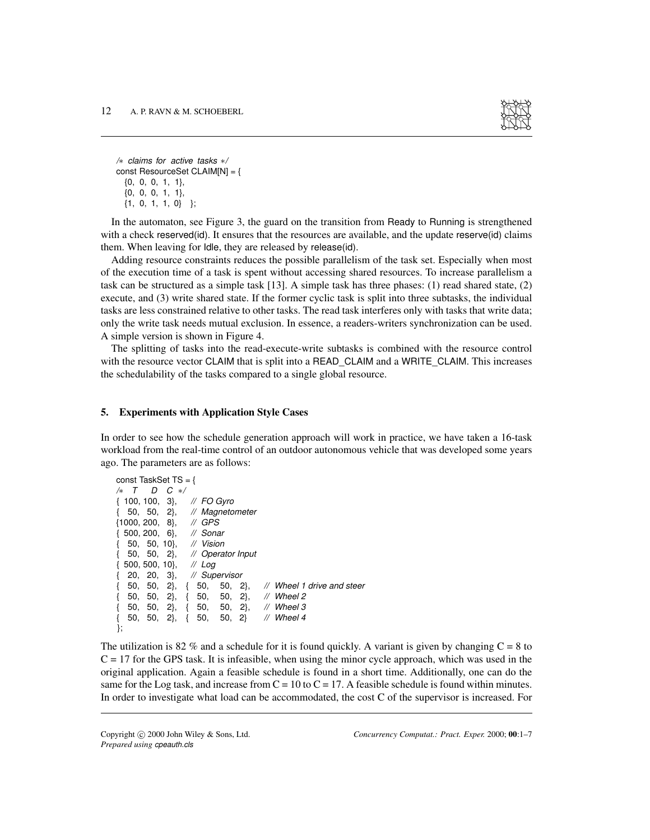

```
/∗ claims for active tasks ∗/
const ResourceSet CLAIM[N] = {
  {0, 0, 0, 1, 1},
  {0, 0, 0, 1, 1},
  {1, 0, 1, 1, 0} };
```
In the automaton, see Figure 3, the guard on the transition from Ready to Running is strengthened with a check reserved (id). It ensures that the resources are available, and the update reserve (id) claims them. When leaving for Idle, they are released by release(id).

Adding resource constraints reduces the possible parallelism of the task set. Especially when most of the execution time of a task is spent without accessing shared resources. To increase parallelism a task can be structured as a simple task [13]. A simple task has three phases: (1) read shared state, (2) execute, and (3) write shared state. If the former cyclic task is split into three subtasks, the individual tasks are less constrained relative to other tasks. The read task interferes only with tasks that write data; only the write task needs mutual exclusion. In essence, a readers-writers synchronization can be used. A simple version is shown in Figure 4.

The splitting of tasks into the read-execute-write subtasks is combined with the resource control with the resource vector CLAIM that is split into a READ\_CLAIM and a WRITE\_CLAIM. This increases the schedulability of the tasks compared to a single global resource.

# 5. Experiments with Application Style Cases

In order to see how the schedule generation approach will work in practice, we have taken a 16-task workload from the real-time control of an outdoor autonomous vehicle that was developed some years ago. The parameters are as follows:

| const TaskSet $TS = \{$    |                                                |  |  |  |  |
|----------------------------|------------------------------------------------|--|--|--|--|
| $C \times$<br>D<br>T<br>/∗ |                                                |  |  |  |  |
| $100, 100, 3$ ,            | // FO Gyro                                     |  |  |  |  |
| $50, 50, 2$ ,              | // Magnetometer                                |  |  |  |  |
| $\{1000, 200, 8\},\$       | // GPS                                         |  |  |  |  |
| $500, 200, 6$ .            | // Sonar                                       |  |  |  |  |
| 50, 50, 10                 | // Vision                                      |  |  |  |  |
| 50, 50, 2                  | // Operator Input                              |  |  |  |  |
| 500, 500, 10               | // Log                                         |  |  |  |  |
| $20, 20, 3$ ,              | // Supervisor                                  |  |  |  |  |
| 50, 50,<br>$2\},$          | // Wheel 1 drive and steer<br>50.<br>$50, 2$ , |  |  |  |  |
| 50, 50,<br>2},             | // Wheel 2<br>50.<br>50.<br>2},                |  |  |  |  |
| 50, 50,<br>2},             | // Wheel 3<br>50.<br>50.<br>- 2},              |  |  |  |  |
| 50, 50,<br>2},             | // Wheel 4<br>50,<br>50,<br>2}                 |  |  |  |  |
|                            |                                                |  |  |  |  |

The utilization is 82 % and a schedule for it is found quickly. A variant is given by changing  $C = 8$  to  $C = 17$  for the GPS task. It is infeasible, when using the minor cycle approach, which was used in the original application. Again a feasible schedule is found in a short time. Additionally, one can do the same for the Log task, and increase from  $C = 10$  to  $C = 17$ . A feasible schedule is found within minutes. In order to investigate what load can be accommodated, the cost C of the supervisor is increased. For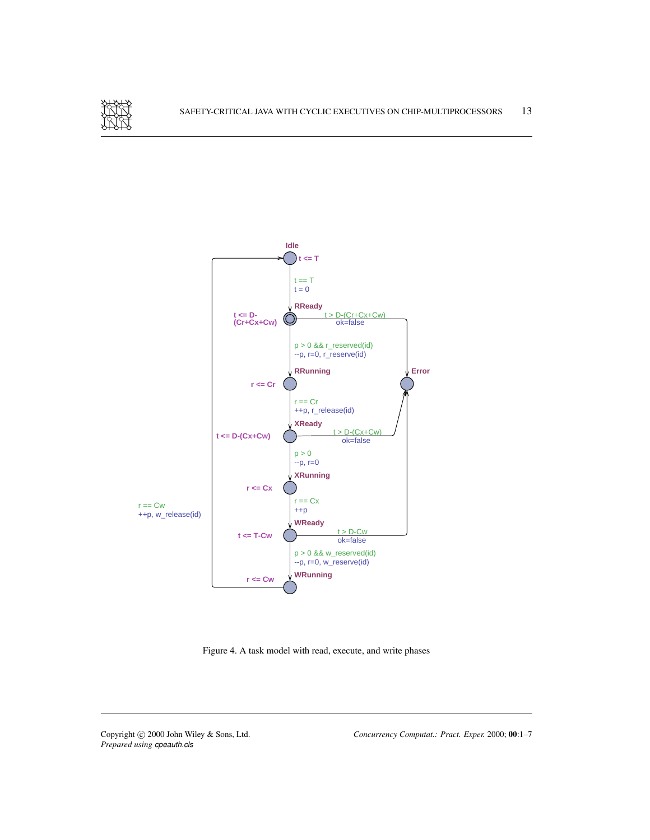

Figure 4. A task model with read, execute, and write phases

*Prepared using cpeauth.cls*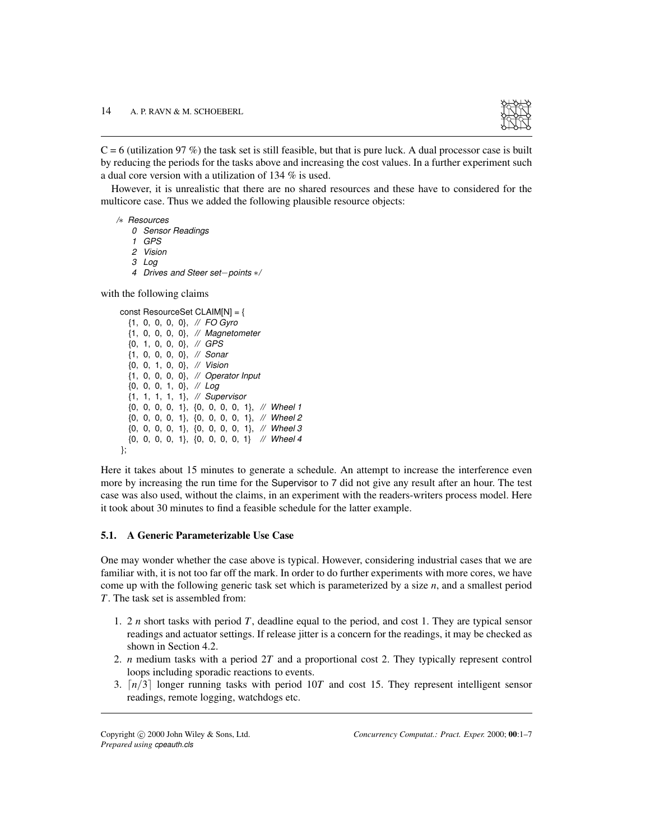

 $C = 6$  (utilization 97 %) the task set is still feasible, but that is pure luck. A dual processor case is built by reducing the periods for the tasks above and increasing the cost values. In a further experiment such a dual core version with a utilization of 134 % is used.

However, it is unrealistic that there are no shared resources and these have to considered for the multicore case. Thus we added the following plausible resource objects:

*/*∗ *Resources*

- *0 Sensor Readings*
- *1 GPS*
- *2 Vision*
- *3 Log*
- *4 Drives and Steer set*−*points* ∗*/*

with the following claims

const ResourceSet CLAIM[N] = { {1, 0, 0, 0, 0}, *// FO Gyro* {1, 0, 0, 0, 0}, *// Magnetometer* {0, 1, 0, 0, 0}, *// GPS* {1, 0, 0, 0, 0}, *// Sonar* {0, 0, 1, 0, 0}, *// Vision* {1, 0, 0, 0, 0}, *// Operator Input* {0, 0, 0, 1, 0}, *// Log* {1, 1, 1, 1, 1}, *// Supervisor* {0, 0, 0, 0, 1}, {0, 0, 0, 0, 1}, *// Wheel 1* {0, 0, 0, 0, 1}, {0, 0, 0, 0, 1}, *// Wheel 2* {0, 0, 0, 0, 1}, {0, 0, 0, 0, 1}, *// Wheel 3* {0, 0, 0, 0, 1}, {0, 0, 0, 0, 1} *// Wheel 4* };

Here it takes about 15 minutes to generate a schedule. An attempt to increase the interference even more by increasing the run time for the Supervisor to 7 did not give any result after an hour. The test case was also used, without the claims, in an experiment with the readers-writers process model. Here it took about 30 minutes to find a feasible schedule for the latter example.

#### 5.1. A Generic Parameterizable Use Case

One may wonder whether the case above is typical. However, considering industrial cases that we are familiar with, it is not too far off the mark. In order to do further experiments with more cores, we have come up with the following generic task set which is parameterized by a size *n*, and a smallest period *T*. The task set is assembled from:

- 1. 2 *n* short tasks with period *T*, deadline equal to the period, and cost 1. They are typical sensor readings and actuator settings. If release jitter is a concern for the readings, it may be checked as shown in Section 4.2.
- 2. *n* medium tasks with a period 2*T* and a proportional cost 2. They typically represent control loops including sporadic reactions to events.
- 3.  $\lceil n/3 \rceil$  longer running tasks with period 10*T* and cost 15. They represent intelligent sensor readings, remote logging, watchdogs etc.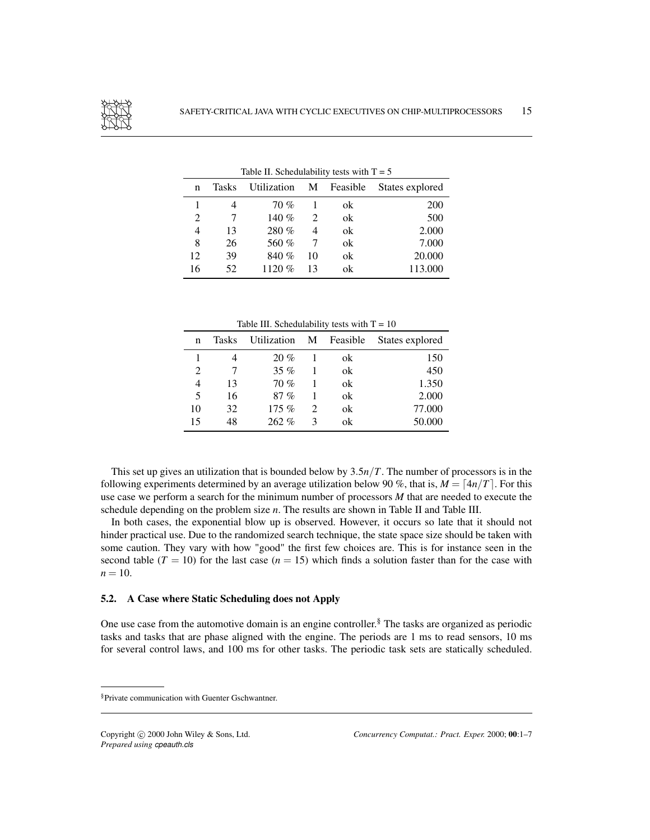

| rable in Schedulability tests with $1 = 3$ |       |             |    |          |                 |  |
|--------------------------------------------|-------|-------------|----|----------|-----------------|--|
| n                                          | Tasks | Utilization | M  | Feasible | States explored |  |
|                                            | 4     | 70%         |    | ok       | <b>200</b>      |  |
| 2                                          |       | 140 $%$     | 2  | ok       | 500             |  |
| 4                                          | 13    | 280%        | 4  | ok       | 2.000           |  |
| 8                                          | 26    | 560 $%$     |    | ok       | 7.000           |  |
| 12                                         | 39    | 840 $%$     | 10 | ok       | 20.000          |  |
| 16                                         | 52    | 1120 $%$    | 13 | ok       | 113.000         |  |

 $Table II.$  Schedulability tests with  $T = 5$ 

Table III. Schedulability tests with  $T = 10$ 

| n              | <b>Tasks</b> | Utilization M Feasible |   |    | States explored |
|----------------|--------------|------------------------|---|----|-----------------|
|                |              | 20%                    |   | ok | 150             |
| $\mathfrak{D}$ |              | 35 $%$                 |   | ok | 450             |
| 4              | 13           | 70%                    |   | ok | 1.350           |
| 5              | 16           | 87%                    |   | ok | 2.000           |
| 10             | 32           | 175%                   | 2 | ok | 77.000          |
| 15             | 48           | 262%                   | 3 | ok | 50.000          |

This set up gives an utilization that is bounded below by 3.5*n*/*T*. The number of processors is in the following experiments determined by an average utilization below 90 %, that is,  $M = \lfloor 4n/T \rfloor$ . For this use case we perform a search for the minimum number of processors *M* that are needed to execute the schedule depending on the problem size *n*. The results are shown in Table II and Table III.

In both cases, the exponential blow up is observed. However, it occurs so late that it should not hinder practical use. Due to the randomized search technique, the state space size should be taken with some caution. They vary with how "good" the first few choices are. This is for instance seen in the second table  $(T = 10)$  for the last case  $(n = 15)$  which finds a solution faster than for the case with  $n = 10$ .

# 5.2. A Case where Static Scheduling does not Apply

One use case from the automotive domain is an engine controller.<sup>§</sup> The tasks are organized as periodic tasks and tasks that are phase aligned with the engine. The periods are 1 ms to read sensors, 10 ms for several control laws, and 100 ms for other tasks. The periodic task sets are statically scheduled.

<sup>§</sup>Private communication with Guenter Gschwantner.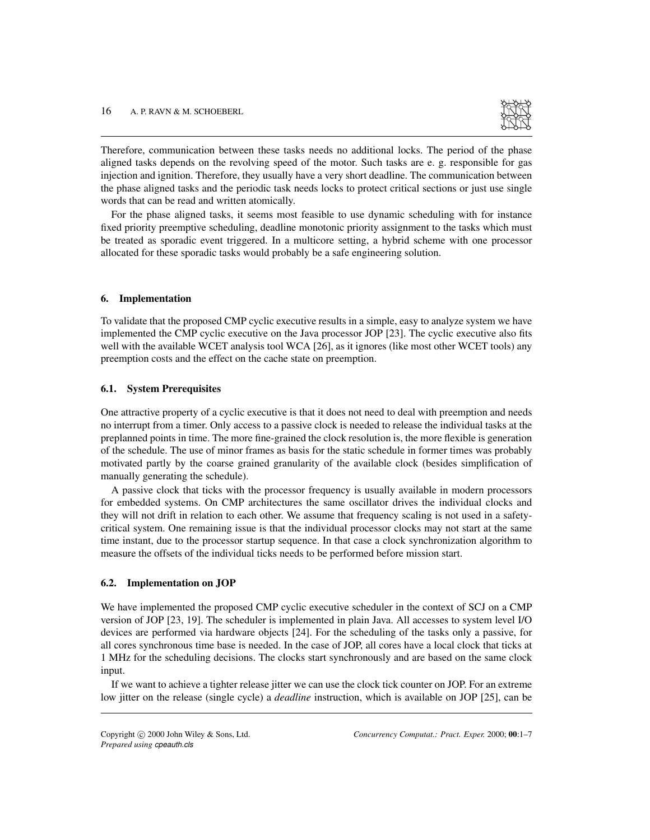

Therefore, communication between these tasks needs no additional locks. The period of the phase aligned tasks depends on the revolving speed of the motor. Such tasks are e. g. responsible for gas injection and ignition. Therefore, they usually have a very short deadline. The communication between the phase aligned tasks and the periodic task needs locks to protect critical sections or just use single words that can be read and written atomically.

For the phase aligned tasks, it seems most feasible to use dynamic scheduling with for instance fixed priority preemptive scheduling, deadline monotonic priority assignment to the tasks which must be treated as sporadic event triggered. In a multicore setting, a hybrid scheme with one processor allocated for these sporadic tasks would probably be a safe engineering solution.

# 6. Implementation

To validate that the proposed CMP cyclic executive results in a simple, easy to analyze system we have implemented the CMP cyclic executive on the Java processor JOP [23]. The cyclic executive also fits well with the available WCET analysis tool WCA [26], as it ignores (like most other WCET tools) any preemption costs and the effect on the cache state on preemption.

#### 6.1. System Prerequisites

One attractive property of a cyclic executive is that it does not need to deal with preemption and needs no interrupt from a timer. Only access to a passive clock is needed to release the individual tasks at the preplanned points in time. The more fine-grained the clock resolution is, the more flexible is generation of the schedule. The use of minor frames as basis for the static schedule in former times was probably motivated partly by the coarse grained granularity of the available clock (besides simplification of manually generating the schedule).

A passive clock that ticks with the processor frequency is usually available in modern processors for embedded systems. On CMP architectures the same oscillator drives the individual clocks and they will not drift in relation to each other. We assume that frequency scaling is not used in a safetycritical system. One remaining issue is that the individual processor clocks may not start at the same time instant, due to the processor startup sequence. In that case a clock synchronization algorithm to measure the offsets of the individual ticks needs to be performed before mission start.

# 6.2. Implementation on JOP

We have implemented the proposed CMP cyclic executive scheduler in the context of SCJ on a CMP version of JOP [23, 19]. The scheduler is implemented in plain Java. All accesses to system level I/O devices are performed via hardware objects [24]. For the scheduling of the tasks only a passive, for all cores synchronous time base is needed. In the case of JOP, all cores have a local clock that ticks at 1 MHz for the scheduling decisions. The clocks start synchronously and are based on the same clock input.

If we want to achieve a tighter release jitter we can use the clock tick counter on JOP. For an extreme low jitter on the release (single cycle) a *deadline* instruction, which is available on JOP [25], can be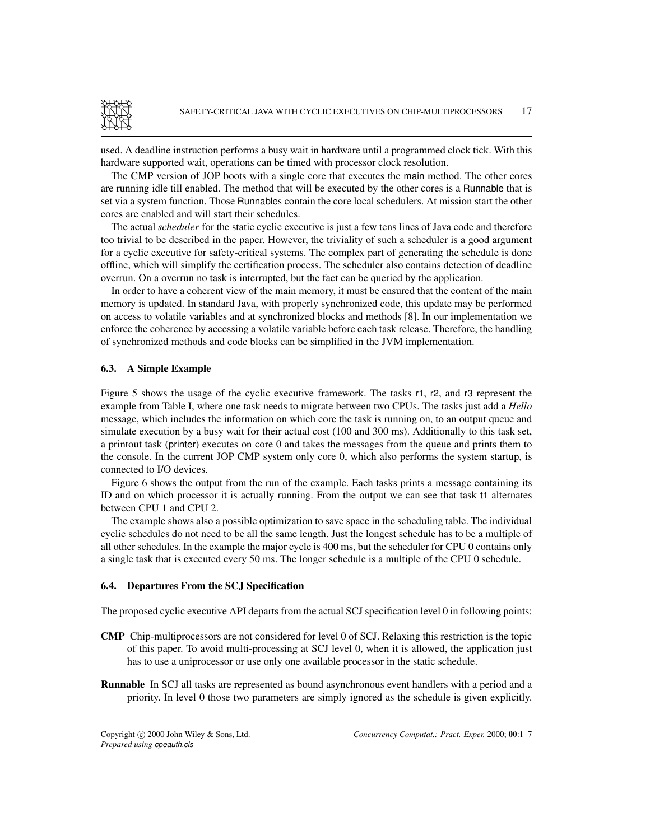used. A deadline instruction performs a busy wait in hardware until a programmed clock tick. With this hardware supported wait, operations can be timed with processor clock resolution.

The CMP version of JOP boots with a single core that executes the main method. The other cores are running idle till enabled. The method that will be executed by the other cores is a Runnable that is set via a system function. Those Runnables contain the core local schedulers. At mission start the other cores are enabled and will start their schedules.

The actual *scheduler* for the static cyclic executive is just a few tens lines of Java code and therefore too trivial to be described in the paper. However, the triviality of such a scheduler is a good argument for a cyclic executive for safety-critical systems. The complex part of generating the schedule is done offline, which will simplify the certification process. The scheduler also contains detection of deadline overrun. On a overrun no task is interrupted, but the fact can be queried by the application.

In order to have a coherent view of the main memory, it must be ensured that the content of the main memory is updated. In standard Java, with properly synchronized code, this update may be performed on access to volatile variables and at synchronized blocks and methods [8]. In our implementation we enforce the coherence by accessing a volatile variable before each task release. Therefore, the handling of synchronized methods and code blocks can be simplified in the JVM implementation.

# 6.3. A Simple Example

Figure 5 shows the usage of the cyclic executive framework. The tasks r1, r2, and r3 represent the example from Table I, where one task needs to migrate between two CPUs. The tasks just add a *Hello* message, which includes the information on which core the task is running on, to an output queue and simulate execution by a busy wait for their actual cost (100 and 300 ms). Additionally to this task set, a printout task (printer) executes on core 0 and takes the messages from the queue and prints them to the console. In the current JOP CMP system only core 0, which also performs the system startup, is connected to I/O devices.

Figure 6 shows the output from the run of the example. Each tasks prints a message containing its ID and on which processor it is actually running. From the output we can see that task t1 alternates between CPU 1 and CPU 2.

The example shows also a possible optimization to save space in the scheduling table. The individual cyclic schedules do not need to be all the same length. Just the longest schedule has to be a multiple of all other schedules. In the example the major cycle is 400 ms, but the scheduler for CPU 0 contains only a single task that is executed every 50 ms. The longer schedule is a multiple of the CPU 0 schedule.

#### 6.4. Departures From the SCJ Specification

The proposed cyclic executive API departs from the actual SCJ specification level 0 in following points:

- CMP Chip-multiprocessors are not considered for level 0 of SCJ. Relaxing this restriction is the topic of this paper. To avoid multi-processing at SCJ level 0, when it is allowed, the application just has to use a uniprocessor or use only one available processor in the static schedule.
- Runnable In SCJ all tasks are represented as bound asynchronous event handlers with a period and a priority. In level 0 those two parameters are simply ignored as the schedule is given explicitly.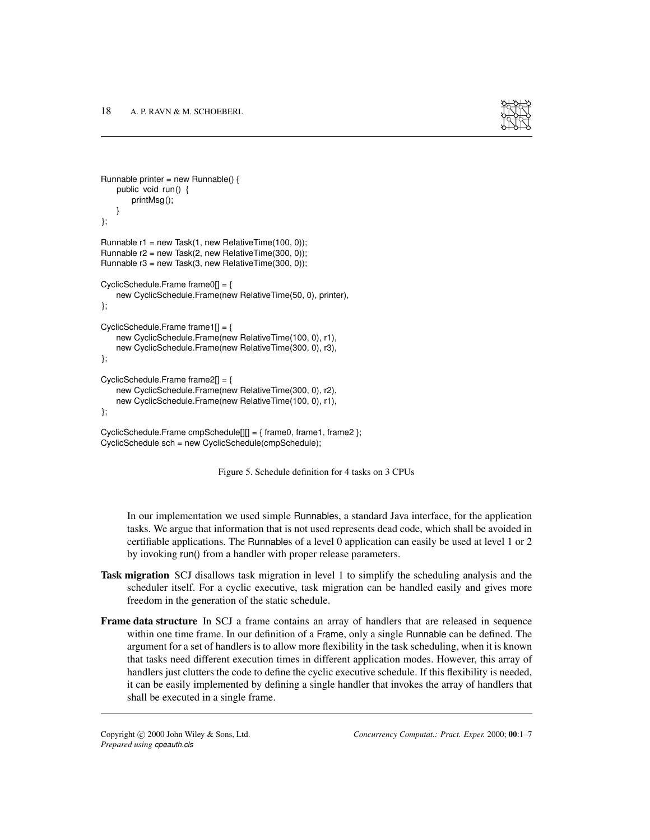

```
Runnable printer = new Runnable() {
    public void run() {
       printMsg();
    }
};
Runnable r1 = new Task(1, new RelativeTime(100, 0));
Runnable r2 = new Task(2, new RelativeTime(300, 0));
Runnable r3 = new Task(3, new RelativeTime(300, 0));
CyclicSchedule.Frame frame0[] = {
    new CyclicSchedule.Frame(new RelativeTime(50, 0), printer),
};
CyclicSchedule.Frame frame1[] = {
   new CyclicSchedule.Frame(new RelativeTime(100, 0), r1),
   new CyclicSchedule.Frame(new RelativeTime(300, 0), r3),
};
CyclicSchedule.Frame frame2[] = {
    new CyclicSchedule.Frame(new RelativeTime(300, 0), r2),
    new CyclicSchedule.Frame(new RelativeTime(100, 0), r1),
};
CyclicSchedule.Frame cmpSchedule[][] = { frame0, frame1, frame2 };
CyclicSchedule sch = new CyclicSchedule(cmpSchedule);
```
Figure 5. Schedule definition for 4 tasks on 3 CPUs

In our implementation we used simple Runnables, a standard Java interface, for the application tasks. We argue that information that is not used represents dead code, which shall be avoided in certifiable applications. The Runnables of a level 0 application can easily be used at level 1 or 2 by invoking run() from a handler with proper release parameters.

- Task migration SCJ disallows task migration in level 1 to simplify the scheduling analysis and the scheduler itself. For a cyclic executive, task migration can be handled easily and gives more freedom in the generation of the static schedule.
- Frame data structure In SCJ a frame contains an array of handlers that are released in sequence within one time frame. In our definition of a Frame, only a single Runnable can be defined. The argument for a set of handlers is to allow more flexibility in the task scheduling, when it is known that tasks need different execution times in different application modes. However, this array of handlers just clutters the code to define the cyclic executive schedule. If this flexibility is needed, it can be easily implemented by defining a single handler that invokes the array of handlers that shall be executed in a single frame.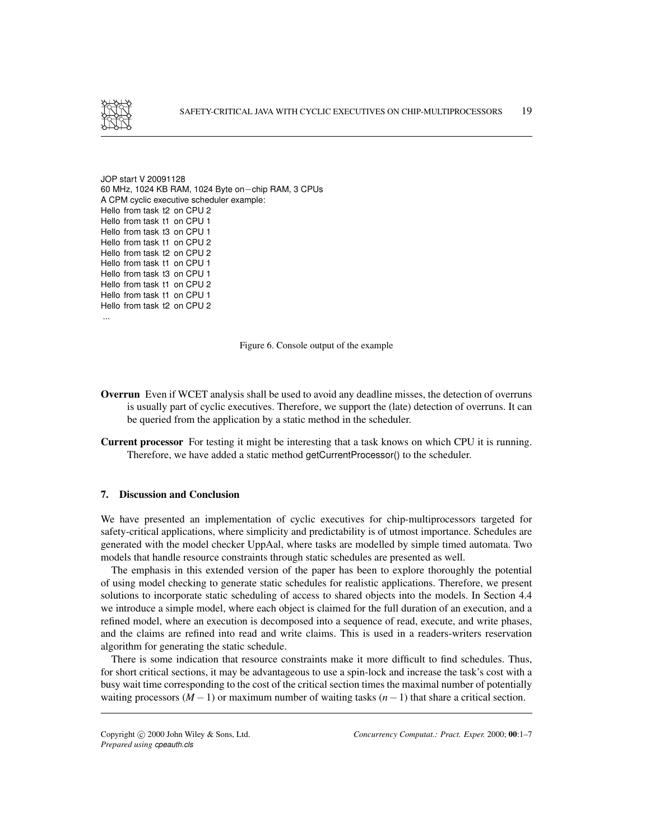

```
JOP start V 20091128
60 MHz, 1024 KB RAM, 1024 Byte on−chip RAM, 3 CPUs
A CPM cyclic executive scheduler example:
Hello from task t2 on CPU 2
Hello from task t1 on CPU 1
Hello from task t3 on CPU 1
Hello from task t1 on CPU 2
Hello from task t2 on CPU 2
Hello from task t1 on CPU 1
Hello from task t3 on CPU 1
Hello from task t1 on CPU 2
Hello from task t1 on CPU 1
Hello from task t2 on CPU 2
...
```
Figure 6. Console output of the example

- Overrun Even if WCET analysis shall be used to avoid any deadline misses, the detection of overruns is usually part of cyclic executives. Therefore, we support the (late) detection of overruns. It can be queried from the application by a static method in the scheduler.
- Current processor For testing it might be interesting that a task knows on which CPU it is running. Therefore, we have added a static method getCurrentProcessor() to the scheduler.

# 7. Discussion and Conclusion

We have presented an implementation of cyclic executives for chip-multiprocessors targeted for safety-critical applications, where simplicity and predictability is of utmost importance. Schedules are generated with the model checker UppAal, where tasks are modelled by simple timed automata. Two models that handle resource constraints through static schedules are presented as well.

The emphasis in this extended version of the paper has been to explore thoroughly the potential of using model checking to generate static schedules for realistic applications. Therefore, we present solutions to incorporate static scheduling of access to shared objects into the models. In Section 4.4 we introduce a simple model, where each object is claimed for the full duration of an execution, and a refined model, where an execution is decomposed into a sequence of read, execute, and write phases, and the claims are refined into read and write claims. This is used in a readers-writers reservation algorithm for generating the static schedule.

There is some indication that resource constraints make it more difficult to find schedules. Thus, for short critical sections, it may be advantageous to use a spin-lock and increase the task's cost with a busy wait time corresponding to the cost of the critical section times the maximal number of potentially waiting processors (*M* −1) or maximum number of waiting tasks (*n*−1) that share a critical section.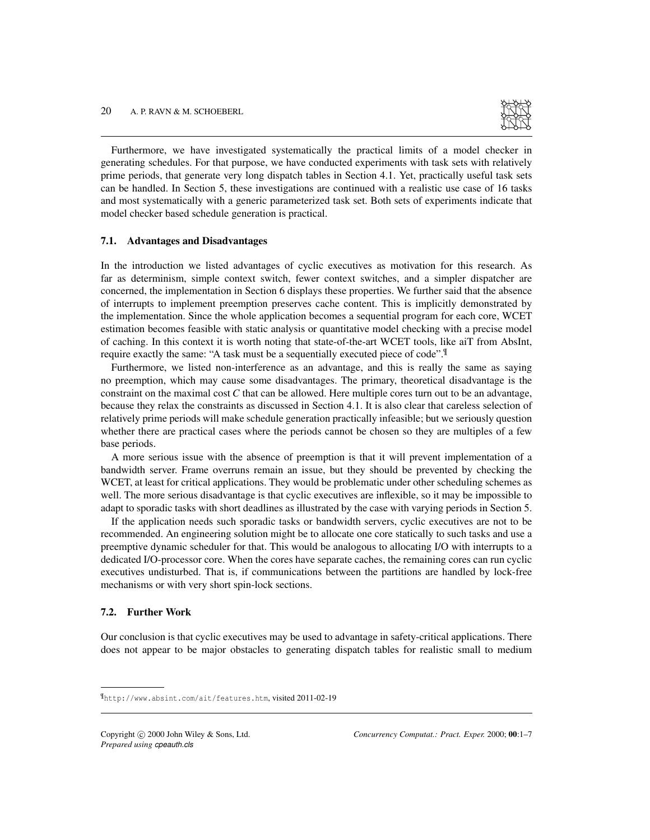

Furthermore, we have investigated systematically the practical limits of a model checker in generating schedules. For that purpose, we have conducted experiments with task sets with relatively prime periods, that generate very long dispatch tables in Section 4.1. Yet, practically useful task sets can be handled. In Section 5, these investigations are continued with a realistic use case of 16 tasks and most systematically with a generic parameterized task set. Both sets of experiments indicate that model checker based schedule generation is practical.

#### 7.1. Advantages and Disadvantages

In the introduction we listed advantages of cyclic executives as motivation for this research. As far as determinism, simple context switch, fewer context switches, and a simpler dispatcher are concerned, the implementation in Section 6 displays these properties. We further said that the absence of interrupts to implement preemption preserves cache content. This is implicitly demonstrated by the implementation. Since the whole application becomes a sequential program for each core, WCET estimation becomes feasible with static analysis or quantitative model checking with a precise model of caching. In this context it is worth noting that state-of-the-art WCET tools, like aiT from AbsInt, require exactly the same: "A task must be a sequentially executed piece of code".¶

Furthermore, we listed non-interference as an advantage, and this is really the same as saying no preemption, which may cause some disadvantages. The primary, theoretical disadvantage is the constraint on the maximal cost *C* that can be allowed. Here multiple cores turn out to be an advantage, because they relax the constraints as discussed in Section 4.1. It is also clear that careless selection of relatively prime periods will make schedule generation practically infeasible; but we seriously question whether there are practical cases where the periods cannot be chosen so they are multiples of a few base periods.

A more serious issue with the absence of preemption is that it will prevent implementation of a bandwidth server. Frame overruns remain an issue, but they should be prevented by checking the WCET, at least for critical applications. They would be problematic under other scheduling schemes as well. The more serious disadvantage is that cyclic executives are inflexible, so it may be impossible to adapt to sporadic tasks with short deadlines as illustrated by the case with varying periods in Section 5.

If the application needs such sporadic tasks or bandwidth servers, cyclic executives are not to be recommended. An engineering solution might be to allocate one core statically to such tasks and use a preemptive dynamic scheduler for that. This would be analogous to allocating I/O with interrupts to a dedicated I/O-processor core. When the cores have separate caches, the remaining cores can run cyclic executives undisturbed. That is, if communications between the partitions are handled by lock-free mechanisms or with very short spin-lock sections.

#### 7.2. Further Work

Our conclusion is that cyclic executives may be used to advantage in safety-critical applications. There does not appear to be major obstacles to generating dispatch tables for realistic small to medium

<sup>¶</sup>http://www.absint.com/ait/features.htm, visited 2011-02-19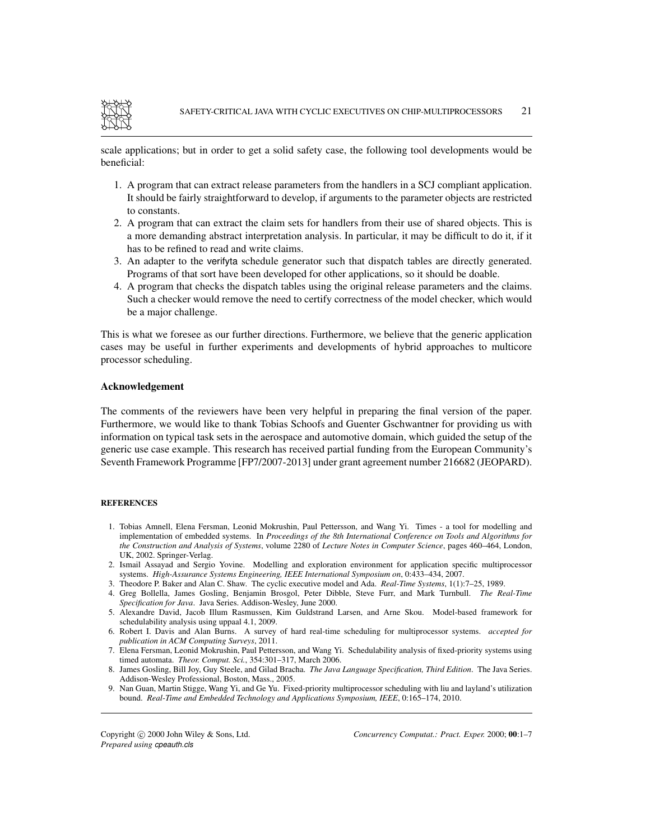

scale applications; but in order to get a solid safety case, the following tool developments would be beneficial:

- 1. A program that can extract release parameters from the handlers in a SCJ compliant application. It should be fairly straightforward to develop, if arguments to the parameter objects are restricted to constants.
- 2. A program that can extract the claim sets for handlers from their use of shared objects. This is a more demanding abstract interpretation analysis. In particular, it may be difficult to do it, if it has to be refined to read and write claims.
- 3. An adapter to the verifyta schedule generator such that dispatch tables are directly generated. Programs of that sort have been developed for other applications, so it should be doable.
- 4. A program that checks the dispatch tables using the original release parameters and the claims. Such a checker would remove the need to certify correctness of the model checker, which would be a major challenge.

This is what we foresee as our further directions. Furthermore, we believe that the generic application cases may be useful in further experiments and developments of hybrid approaches to multicore processor scheduling.

# Acknowledgement

The comments of the reviewers have been very helpful in preparing the final version of the paper. Furthermore, we would like to thank Tobias Schoofs and Guenter Gschwantner for providing us with information on typical task sets in the aerospace and automotive domain, which guided the setup of the generic use case example. This research has received partial funding from the European Community's Seventh Framework Programme [FP7/2007-2013] under grant agreement number 216682 (JEOPARD).

#### **REFERENCES**

- 1. Tobias Amnell, Elena Fersman, Leonid Mokrushin, Paul Pettersson, and Wang Yi. Times a tool for modelling and implementation of embedded systems. In *Proceedings of the 8th International Conference on Tools and Algorithms for the Construction and Analysis of Systems*, volume 2280 of *Lecture Notes in Computer Science*, pages 460–464, London, UK, 2002. Springer-Verlag.
- 2. Ismail Assayad and Sergio Yovine. Modelling and exploration environment for application specific multiprocessor systems. *High-Assurance Systems Engineering, IEEE International Symposium on*, 0:433–434, 2007.
- 3. Theodore P. Baker and Alan C. Shaw. The cyclic executive model and Ada. *Real-Time Systems*, 1(1):7–25, 1989.
- 4. Greg Bollella, James Gosling, Benjamin Brosgol, Peter Dibble, Steve Furr, and Mark Turnbull. *The Real-Time Specification for Java*. Java Series. Addison-Wesley, June 2000.
- 5. Alexandre David, Jacob Illum Rasmussen, Kim Guldstrand Larsen, and Arne Skou. Model-based framework for schedulability analysis using uppaal 4.1, 2009.
- 6. Robert I. Davis and Alan Burns. A survey of hard real-time scheduling for multiprocessor systems. *accepted for publication in ACM Computing Surveys*, 2011.
- 7. Elena Fersman, Leonid Mokrushin, Paul Pettersson, and Wang Yi. Schedulability analysis of fixed-priority systems using timed automata. *Theor. Comput. Sci.*, 354:301–317, March 2006.
- 8. James Gosling, Bill Joy, Guy Steele, and Gilad Bracha. *The Java Language Specification, Third Edition*. The Java Series. Addison-Wesley Professional, Boston, Mass., 2005.
- 9. Nan Guan, Martin Stigge, Wang Yi, and Ge Yu. Fixed-priority multiprocessor scheduling with liu and layland's utilization bound. *Real-Time and Embedded Technology and Applications Symposium, IEEE*, 0:165–174, 2010.